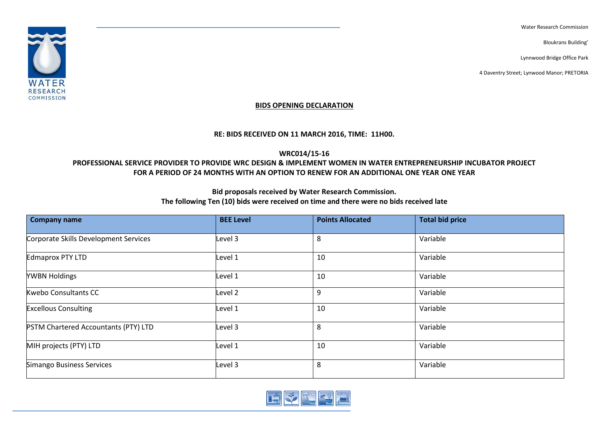Water Research Commission

Bloukrans Building'

Lynnwood Bridge Office Park

4 Daventry Street; Lynwood Manor; PRETORIA



### **BIDS OPENING DECLARATION**

### **RE: BIDS RECEIVED ON 11 MARCH 2016, TIME: 11H00.**

## **WRC014/15-16**

#### Email[: info@wrc.org.za](mailto:info@wrc.org.za) **PROFESSIONAL SERVICE PROVIDER TO PROVIDE WRC DESIGN & IMPLEMENT WOMEN IN WATER ENTREPRENEURSHIP INCUBATOR PROJECT FOR A PERIOD OF 24 MONTHS WITH AN OPTION TO RENEW FOR AN ADDITIONAL ONE YEAR ONE YEAR**

# **Bid proposals received by Water Research Commission.**

## **The following Ten (10) bids were received on time and there were no bids received late**

| <b>Company name</b>                         | <b>BEE Level</b>   | <b>Points Allocated</b> | <b>Total bid price</b> |
|---------------------------------------------|--------------------|-------------------------|------------------------|
| Corporate Skills Development Services       | Level 3            | 8                       | Variable               |
| Edmaprox PTY LTD                            | Level 1            | 10                      | Variable               |
| <b>YWBN Holdings</b>                        | Level 1            | 10                      | Variable               |
| <b>Kwebo Consultants CC</b>                 | Level <sub>2</sub> | 9                       | Variable               |
| <b>Excellous Consulting</b>                 | Level 1            | 10                      | Variable               |
| <b>PSTM Chartered Accountants (PTY) LTD</b> | Level 3            | 8                       | Variable               |
| MIH projects (PTY) LTD                      | Level 1            | 10                      | Variable               |
| Simango Business Services                   | Level 3            | 8                       | Variable               |